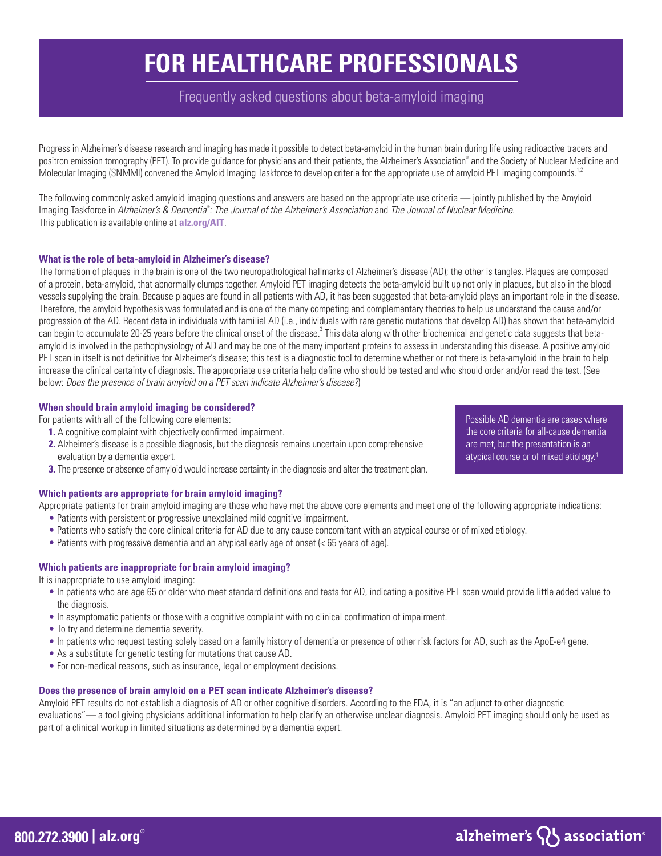# **FOR HEALTHCARE PROFESSIONALS**

Frequently asked questions about beta-amyloid imaging

Progress in Alzheimer's disease research and imaging has made it possible to detect beta-amyloid in the human brain during life using radioactive tracers and positron emission tomography (PET). To provide guidance for physicians and their patients, the Alzheimer's Association® and the Society of Nuclear Medicine and Molecular Imaging (SNMMI) convened the Amyloid Imaging Taskforce to develop criteria for the appropriate use of amyloid PET imaging compounds.<sup>1,2</sup>

The following commonly asked amyloid imaging questions and answers are based on the appropriate use criteria — jointly published by the Amyloid Imaging Taskforce in *Alzheimer's & Dementia® : The Journal of the Alzheimer's Association* and *The Journal of Nuclear Medicine.*  This publication is available online at **alz.org/AIT**.

# **What is the role of beta-amyloid in Alzheimer's disease?**

The formation of plaques in the brain is one of the two neuropathological hallmarks of Alzheimer's disease (AD); the other is tangles. Plaques are composed of a protein, beta-amyloid, that abnormally clumps together. Amyloid PET imaging detects the beta-amyloid built up not only in plaques, but also in the blood vessels supplying the brain. Because plaques are found in all patients with AD, it has been suggested that beta-amyloid plays an important role in the disease. Therefore, the amyloid hypothesis was formulated and is one of the many competing and complementary theories to help us understand the cause and/or progression of the AD. Recent data in individuals with familial AD (i.e., individuals with rare genetic mutations that develop AD) has shown that beta-amyloid can begin to accumulate 20-25 years before the clinical onset of the disease.<sup>3</sup> This data along with other biochemical and genetic data suggests that betaamyloid is involved in the pathophysiology of AD and may be one of the many important proteins to assess in understanding this disease. A positive amyloid PET scan in itself is not definitive for Alzheimer's disease; this test is a diagnostic tool to determine whether or not there is beta-amyloid in the brain to help increase the clinical certainty of diagnosis. The appropriate use criteria help define who should be tested and who should order and/or read the test. (See below: *Does the presence of brain amyloid on a PET scan indicate Alzheimer's disease?*)

# **When should brain amyloid imaging be considered?**

For patients with all of the following core elements:

- **1.** A cognitive complaint with objectively confirmed impairment.
- **2.** Alzheimer's disease is a possible diagnosis, but the diagnosis remains uncertain upon comprehensive evaluation by a dementia expert.
- **3.** The presence or absence of amyloid would increase certainty in the diagnosis and alter the treatment plan.

# **Which patients are appropriate for brain amyloid imaging?**

Appropriate patients for brain amyloid imaging are those who have met the above core elements and meet one of the following appropriate indications:

- Patients with persistent or progressive unexplained mild cognitive impairment.
- Patients who satisfy the core clinical criteria for AD due to any cause concomitant with an atypical course or of mixed etiology.
- Patients with progressive dementia and an atypical early age of onset (< 65 years of age).

# **Which patients are inappropriate for brain amyloid imaging?**

It is inappropriate to use amyloid imaging:

- In patients who are age 65 or older who meet standard definitions and tests for AD, indicating a positive PET scan would provide little added value to the diagnosis.
- In asymptomatic patients or those with a cognitive complaint with no clinical confirmation of impairment.
- To try and determine dementia severity.
- In patients who request testing solely based on a family history of dementia or presence of other risk factors for AD, such as the ApoE-e4 gene.
- As a substitute for genetic testing for mutations that cause AD.
- For non-medical reasons, such as insurance, legal or employment decisions.

# **Does the presence of brain amyloid on a PET scan indicate Alzheimer's disease?**

Amyloid PET results do not establish a diagnosis of AD or other cognitive disorders. According to the FDA, it is "an adjunct to other diagnostic evaluations"— a tool giving physicians additional information to help clarify an otherwise unclear diagnosis. Amyloid PET imaging should only be used as part of a clinical workup in limited situations as determined by a dementia expert.

Possible AD dementia are cases where the core criteria for all-cause dementia are met, but the presentation is an atypical course or of mixed etiology.4

alzheimer's  $\{ \}$  association<sup>®</sup>

**800.272.3900 | alz.org®**